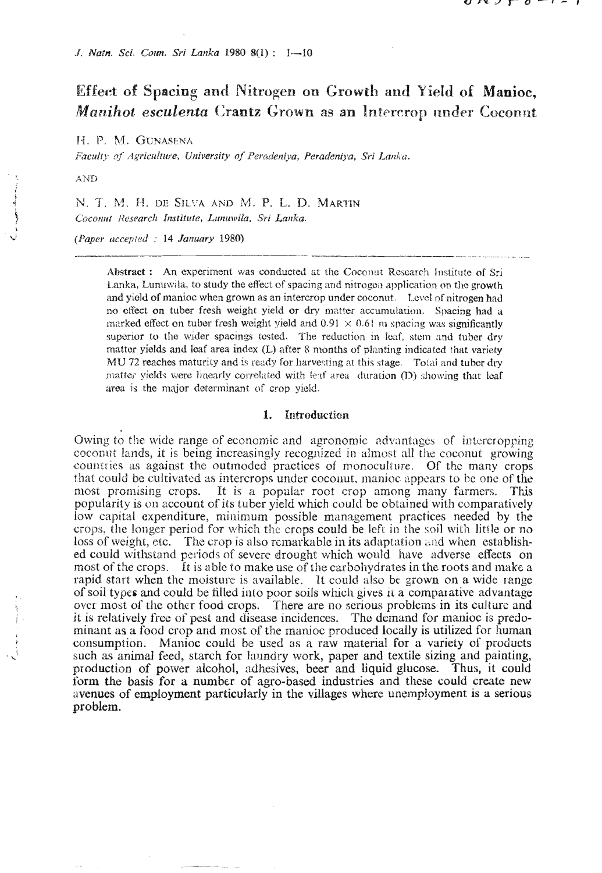J. Natn. Sci. Coun. Sri Lanka 1980 8(1): 1-10

# Effect of Spacing and Nitrogen on Growth and Yield of Manioc, Manihot esculenta Crantz Grown as an Intercrop under Coconnt

H. P. M. GUNASENA

Faculty of Agriculture, University of Peradeniva, Peradeniya, Sri Lanka.

AND

N. T. M. H. DE SILVA AND M. P. L. D. MARTIN Coconut Research Institute, Lunuwila, Sri Lanka.

(Paper accepted : 14 January 1980)

Abstract: An experiment was conducted at the Coconut Research Institute of Sri Lanka, Lunuwila, to study the effect of spacing and nitrogen application on the growth and yield of manioc when grown as an intercrop under coconut. Level of nitrogen had no effect on tuber fresh weight yield or dry matter accumulation. Spacing had a marked effect on tuber fresh weight yield and 0.91  $\times$  0.61 m spacing was significantly superior to the wider spacings tested. The reduction in leaf, stem and tuber dry matter yields and leaf area index (L) after 8 months of planting indicated that variety MU 72 reaches maturity and is ready for harvesting at this stage. Total and tuber dry matter yields were linearly correlated with leaf area duration (D) showing that leaf area is the major determinant of crop yield.

#### 1. Introduction

Owing to the wide range of economic and agronomic advantages of intercropping coconut lands, it is being increasingly recognized in almost all the coconut growing countries as against the outmoded practices of monoculture. Of the many crops that could be cultivated as intercrops under coconut, manioc appears to be one of the most promising crops. It is a popular root crop among many farmers. This popularity is on account of its tuber yield which could be obtained with comparatively low capital expenditure, minimum possible management practices needed by the crops, the longer period for which the crops could be left in the soil with little or no loss of weight, etc. The crop is also remarkable in its adaptation and when established could withstand periods of severe drought which would have adverse effects on most of the crops. It is able to make use of the carbohydrates in the roots and make a rapid start when the moisture is available. It could also be grown on a wide range of soil types and could be filled into poor soils which gives it a comparative advantage over most of the other food crops. There are no serious problems in its culture and it is relatively free of pest and disease incidences. The demand for manioc is predominant as a food crop and most of the manioc produced locally is utilized for human consumption. Manioc could be used as a raw material for a variety of products such as animal feed, starch for laundry work, paper and textile sizing and painting, production of power alcohol, adhesives, beer and liquid glucose. Thus, it could form the basis for a number of agro-based industries and these could create new avenues of employment particularly in the villages where unemployment is a serious problem.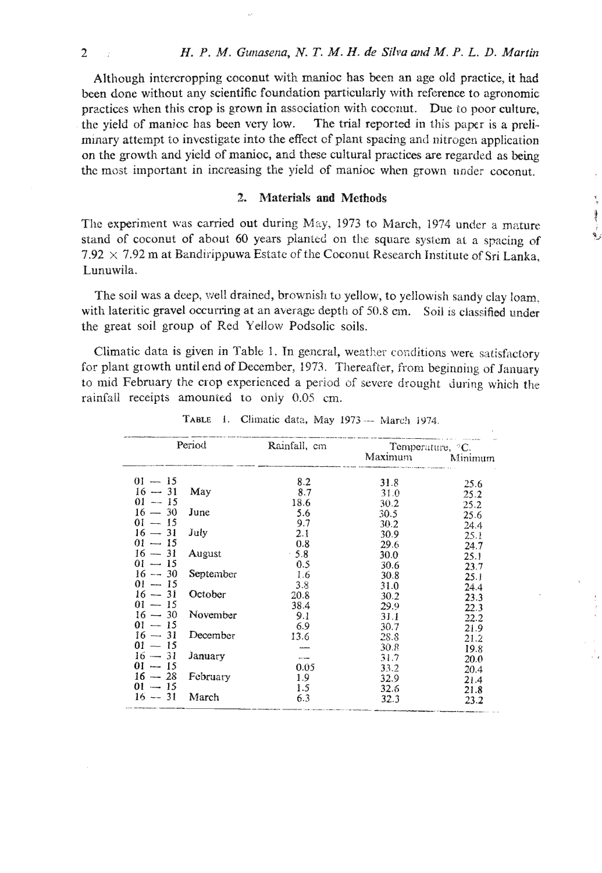ł

Although intercropping coconut with manioc has been an age old practice, it had been done without any scientific foundation particularly with reference to agronomic practices when this crop is grown in association with coconut. Due to poor culture. the yield of manicc has been very low. The trial reported in this paper is a preliminary attempt to investigate into the effect of plant spacing and nitrogen application on the growth and yield of manioc, and these cultural practices are regarded as being the most important in increasing the yield of manioc when grown under coconut.

#### 2. Materials and Methods

The experiment was carried out during May, 1973 to March, 1974 under a mature stand of coconut of about 60 years planted on the square system at a spacing of 7.92  $\times$  7.92 m at Bandirippuwa Estate of the Coconut Research Institute of Sri Lanka. Lunuwila.

The soil was a deep, well drained, brownish to yellow, to yellowish sandy clay loam, with lateritic gravel occurring at an average depth of 50.8 cm. Soil is classified under the great soil group of Red Yellow Podsolic soils.

Climatic data is given in Table 1. In general, weather conditions were satisfactory for plant growth until end of December, 1973. Thereafter, from beginning of January to mid February the crop experienced a period of severe drought during which the rainfall receipts amounted to only 0.05 cm.

| Period    |           | Rainfall, cm | Temperature, <sup>o</sup> C. |         |
|-----------|-----------|--------------|------------------------------|---------|
|           |           |              | Maximum                      | Minimum |
| $01 - 15$ |           | 8.2          | 31.8                         | 25.6    |
| $16 - 31$ | May       | 8.7          | 31.0                         | 25.2    |
| $01 - 15$ |           | 18.6         | 30.2                         | 25.2    |
| $16 - 30$ | June      | 5.6          | 30.5                         | 25.6    |
| $01 - 15$ |           | 9.7          | 30.2                         | 24.4    |
| $16 - 31$ | July      | 2.1          | 30.9                         | 25.1    |
| $01 - 15$ |           | 0.8          | 29.6                         | 24.7    |
| $16 - 31$ | August    | $-5.8$       | 30.0                         | 25.1    |
| $01 - 15$ |           | 0.5          | 30.6                         | 23.7    |
| $16 - 30$ | September | 1.6          | 30.8                         | 25.1    |
| $01 - 15$ |           | 3.8          | 31.0                         | 24.4    |
| $16 - 31$ | October   | 20.8         | 30.2                         | 23.3    |
| $01 - 15$ |           | 38.4         | 29.9                         | 22.3    |
| $16 - 30$ | November  | 9.1          | 31.1                         | 22.2    |
| $01 - 15$ |           | 6.9          | 30.7                         | 21.9    |
| $16 - 31$ | December  | 13.6         | 28.8                         | 21.2    |
| $01 - 15$ |           |              | 30.8                         | 19.8    |
| $16 - 31$ | January   | $\sim$       | 31.7                         | 20.0    |
| $01 - 15$ |           | 0.05         | 33.2                         | 20.4    |
| $16 - 28$ | February  | 1.9          | 32.9                         | 21.4    |
| $01 - 15$ |           | 1.5          | 32.6                         | 21.8    |
| $16 - 31$ | March     | 6.3          | 32.3                         | 23.2    |

TABLE 1. Climatic data, May 1973 - March 1974.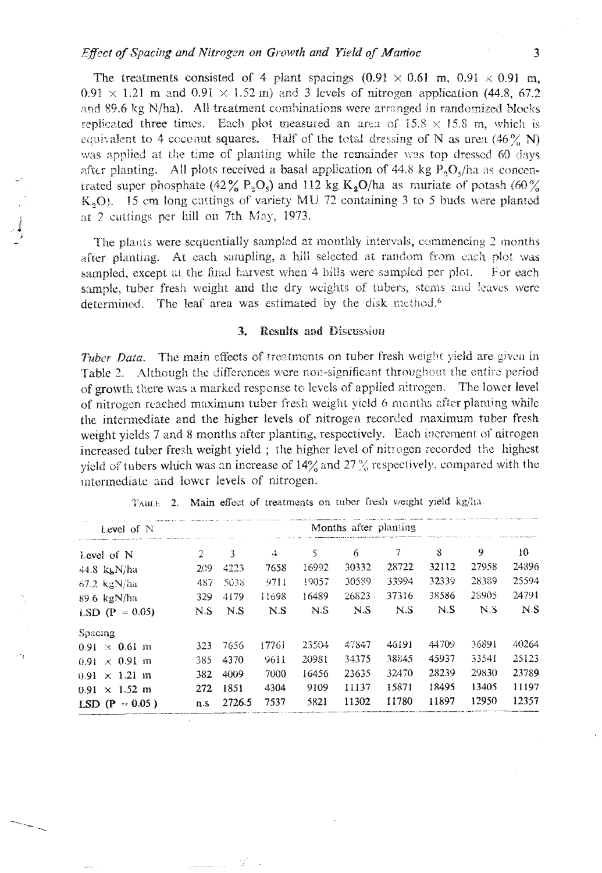The treatments consisted of 4 plant spacings  $(0.91 \times 0.61 \text{ m}, 0.91 \times 0.91 \text{ m},$  $0.91 \times 1.21$  m and  $0.91 \times 1.52$  m) and 3 levels of nitrogen application (44.8, 67.2 and 89.6 kg N/ha). All treatment combinations were arranged in randomized blocks replicated three times. Each plot measured an area of  $15.8 \times 15.8$  m, which is equivalent to 4 cocount squares. Half of the total dressing of N as urea (46% N) was applied at the time of planting while the remainder was top dressed 60 days after planting. All plots received a basal application of 44.8 kg  $P_0O_5/ha$  as concentrated super phosphate (42% P<sub>2</sub>O<sub>5</sub>) and 112 kg K<sub>2</sub>O/ha as muriate of potash (60% K<sub>3</sub>O). 15 cm long cuttings of variety MU 72 containing 3 to 5 buds were planted at 2 cuttings per hill on 7th May, 1973.

The plants were sequentially sampled at monthly intervals, commencing 2 months after planting. At each sampling, a hill selected at random from each plot was sampled, except at the final harvest when 4 hills were sampled per plot. For each sample, tuber fresh weight and the dry weights of tubers, stems and leaves were determined. The leaf area was estimated by the disk method.<sup>6</sup>

#### **Results and Discussion** 3.

Tuber Data. The main effects of treatments on tuber fresh weight yield are given in Table 2. Although the differences were non-significant throughout the entire period of growth there was a marked response to levels of applied nitrogen. The lower level of nitrogen reached maximum tuber fresh weight yield 6 months after planting while the intermediate and the higher levels of nitrogen recorded maximum tuber fresh weight yields 7 and 8 months after planting, respectively. Each increment of nitrogen increased tuber fresh weight yield; the higher level of nitrogen recorded the highest yield of tubers which was an increase of 14% and 27% respectively, compared with the intermediate and lower levels of nitrogen.

| Level of N                   | Months after planting |        |       |       |       |       |       |       |       |
|------------------------------|-----------------------|--------|-------|-------|-------|-------|-------|-------|-------|
| Level of N                   | 2                     | 3      | 4     | 5     | 6     | 7     | 8     | 9     | 10    |
| $44.8$ kg $N/ha$             | 209                   | 4223   | 7658  | 16992 | 30332 | 28722 | 32112 | 27958 | 24896 |
| $67.2$ kgN/ha                | 487                   | 5038   | 9711  | 19057 | 30589 | 33994 | 32339 | 28389 | 25594 |
| 89.6 kgN/ha                  | 329                   | 4179   | 11698 | 16489 | 26823 | 37316 | 38586 | 28905 | 24791 |
| $LSD (P = 0.05)$             | N.S                   | N.S    | N.S   | N.S   | N.S   | N.S   | N.S   | N.S   | N.S   |
| Spacing                      |                       |        |       |       |       |       |       |       |       |
| $0.91 \times 0.61$ m         | 323                   | 7656   | 17761 | 23504 | 47847 | 46191 | 44709 | 36891 | 40264 |
| $0.91 \times 0.91$ m         | 385                   | 4370   | 9611  | 20981 | 34375 | 38845 | 45937 | 33541 | 25123 |
| $0.91 \times 1.21 \text{ m}$ | 382                   | 4009   | 7000  | 16456 | 23635 | 32470 | 28239 | 29830 | 23789 |
| $0.91 \times 1.52 \text{ m}$ | 272                   | 1851   | 4304  | 9109  | 11137 | 15871 | 18495 | 13405 | 11197 |
| LSD (P = $0.05$ )            | n.s                   | 2726.5 | 7537  | 5821  | 11302 | 11780 | 11897 | 12950 | 12357 |

 $\cdot$  '  $_{\rm f}$ 

TABLE 2. Main effect of treatments on tuber fresh weight yield kg/ha.

3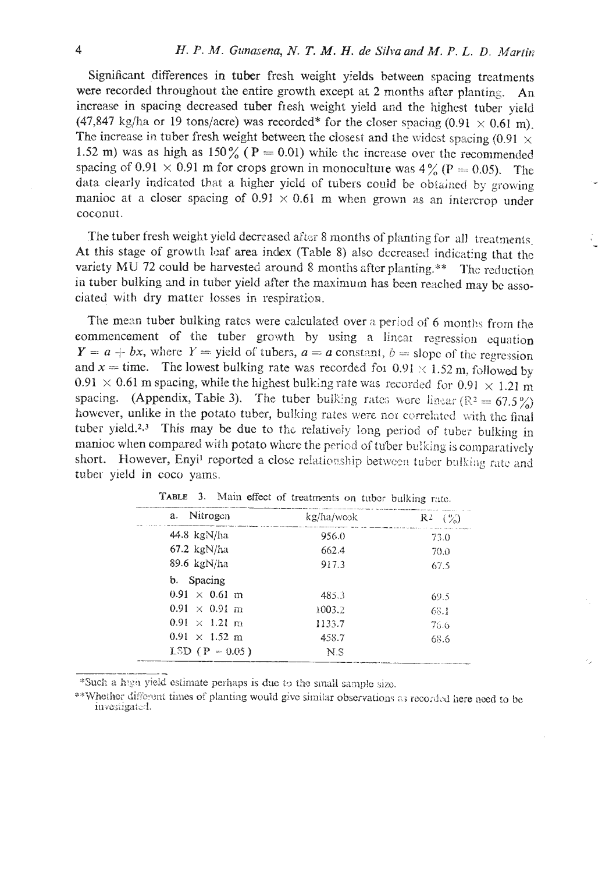Significant differences in tuber fresh weight yields between spacing treatments were recorded throughout the entire growth except at 2 months after planting. An increase in spacing decreased tuber fresh weight yield and the highest tuber vield (47,847 kg/ha or 19 tons/acre) was recorded\* for the closer spacing  $(0.91 \times 0.61 \text{ m})$ . The increase in tuber fresh weight between the closest and the widest spacing (0.91  $\times$ 1.52 m) was as high as  $150\%$  (P = 0.01) while the increase over the recommended spacing of 0.91  $\times$  0.91 m for crops grown in monoculture was 4% (P = 0.05). The data clearly indicated that a higher yield of tubers could be obtained by growing manioc at a closer spacing of  $0.91 \times 0.61$  m when grown as an intercrop under coconut.

The tuber fresh weight yield decreased after 8 months of planting for all treatments. At this stage of growth leaf area index (Table 8) also decreased indicating that the variety MU 72 could be harvested around 8 months after planting.\*\* The reduction in tuber bulking and in tuber yield after the maximum has been reached may be associated with dry matter losses in respiration.

The mean tuber bulking rates were calculated over a period of 6 months from the commencement of the tuber growth by using a linear regression equation  $Y = a + bx$ , where  $Y =$  yield of tubers,  $a = a$  constant,  $b =$  slope of the regression and  $x =$  time. The lowest bulking rate was recorded for 0.91  $\times$  1.52 m, followed by  $0.91 \times 0.61$  m spacing, while the highest bulking rate was recorded for  $0.91 \times 1.21$  m spacing. (Appendix, Table 3). The tuber bulking rates were linear ( $\mathbb{R}^2 = 67.5\%$ ) however, unlike in the potato tuber, bulking rates were not correlated with the final tuber yield.<sup>2,3</sup> This may be due to the relatively long period of tuber bulking in manioc when compared with potato where the period of tuber bulking is comparatively short. However, Enyi<sup>1</sup> reported a close relationship between tuber bulking rate and tuber yield in coco yams.

| Nitrogen<br>a.               | kg/ha/weok | $R^2$ $(\%)$ |
|------------------------------|------------|--------------|
| $44.8$ kgN/ha                | 956.0      | 73.0         |
| $67.2 \text{ kgN/ha}$        | 662.4      | 70.0         |
| 89.6 $kgN/ha$                | 917.3      | 67.5         |
| b. Spacing                   |            |              |
| $0.91 \times 0.61$ m         | 485.3      | 69.5         |
| $0.91 \times 0.91$ m         | 1003.2     | -68.1        |
| $0.91 \times 1.21$ m         | 1133.7     | 75.6         |
| $0.91 \times 1.52 \text{ m}$ | 458.7      | 68.6         |
| $LSD (P = 0.05)$             | N.S        |              |

TABLE 3. Main effect of treatments on tuber bulking rate.

\*Such a high yield estimate perhaps is due to the small sample size.

\*\* Whether different times of planting would give similar observations as recorded here need to be investigated.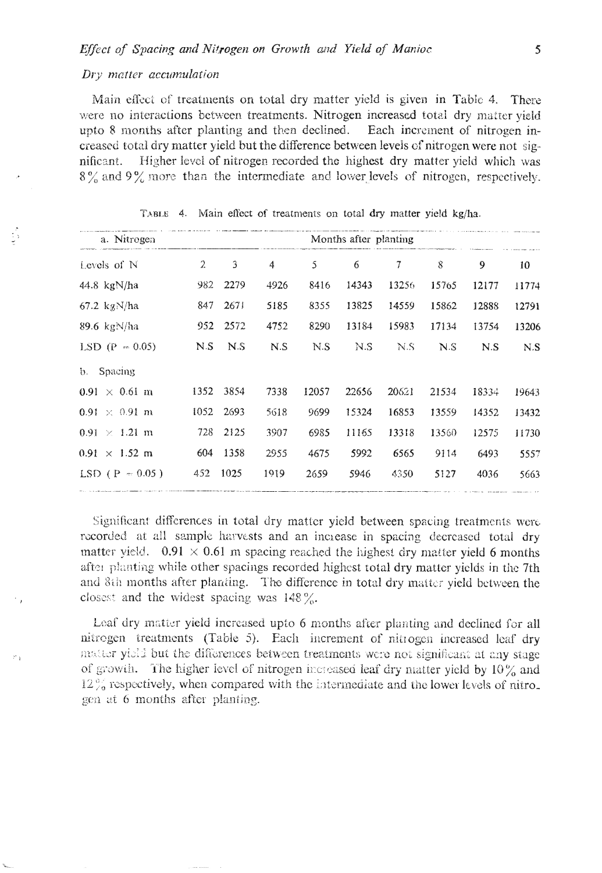### Dry matter accumulation

Main effect of treatments on total dry matter yield is given in Table 4. There were no interactions between treatments. Nitrogen increased total dry matter vield upto 8 months after planting and then declined. Each increment of nitrogen increased total dry matter yield but the difference between levels of nitrogen were not significant. Higher level of nitrogen recorded the highest dry matter yield which was  $8\%$  and  $9\%$  more than the intermediate and lower levels of nitrogen, respectively.

| a. Nitrogen                  |                | Months after planting |      |       |       |        |       |       |       |  |
|------------------------------|----------------|-----------------------|------|-------|-------|--------|-------|-------|-------|--|
| Levels of N                  | $\overline{2}$ | 3                     | 4    | 5     | 6     | $\tau$ | 8     | 9     | 10    |  |
| 44.8 $kgN/ha$                | 982            | 2279                  | 4926 | 8416  | 14343 | 13256  | 15765 | 12177 | 11774 |  |
| 67.2 kg $N/ha$               | 847            | 267!                  | 5185 | 8355  | 13825 | 14559  | 15862 | 12888 | 12791 |  |
| $89.6 \text{ kgN/ha}$        | 952            | 2572                  | 4752 | 8290  | 13184 | 15983  | 17134 | 13754 | 13206 |  |
| LSD $(P = 0.05)$             | N.S            | N.S                   | N.S  | N.S   | N S   | N.S    | N.S   | N.S   | N.S   |  |
| Spacing<br>$\mathbf{b}$ .    |                |                       |      |       |       |        |       |       |       |  |
| $0.91 \times 0.61$ m         | 1352           | 3854                  | 7338 | 12057 | 22656 | 20621  | 21534 | 18334 | 19643 |  |
| $0.91 \times 0.91$ m         | 1052           | 2693                  | 5618 | 9699  | 15324 | 16853  | 13559 | 14352 | 13432 |  |
| $0.91 \times 1.21 \text{ m}$ | 728            | 2125                  | 3907 | 6985  | 11165 | 13318  | 13560 | 12575 | 11730 |  |
| $0.91 \times 1.52$ m         | 604            | 1358                  | 2955 | 4675  | 5992  | 6565   | 9114  | 6493  | 5557  |  |
| LSD ( $P = 0.05$ )           | 452            | 1025                  | 1919 | 2659  | 5946  | 4350   | 5127  | 4036  | 5663  |  |

TABLE 4. Main effect of treatments on total dry matter yield kg/ha.

Significant differences in total dry matter yield between spacing treatments were recorded at all sample harvests and an increase in spacing decreased total dry matter vield.  $0.91 \times 0.61$  m spacing reached the highest dry matter yield 6 months after planting while other spacings recorded highest total dry matter yields in the 7th and 8th months after planting. The difference in total dry matter yield between the closest and the widest spacing was  $148\%$ .

Leaf dry matter yield increased upto 6 months after planting and declined for all nitrogen treatments (Table 5). Each increment of nitrogen increased leaf dry matter yield but the differences between treatments were not significant at any stage of growth. The higher level of nitrogen increased leaf dry matter yield by  $10\%$  and  $12\%$  respectively, when compared with the intermediate and the lower levels of nitrogen at 6 months after planting.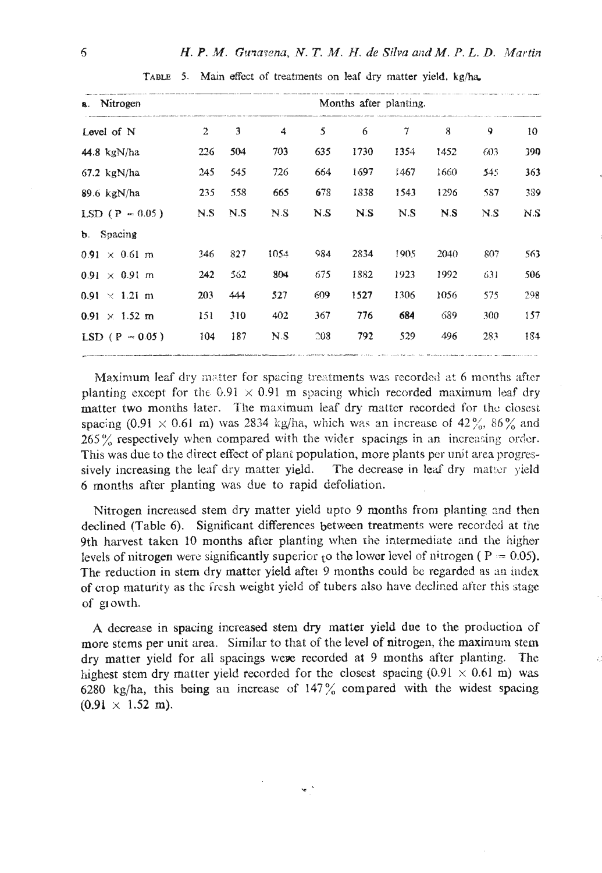| a. Nitrogen          |                |     | Months after planting. |     |      |        |      |     |     |
|----------------------|----------------|-----|------------------------|-----|------|--------|------|-----|-----|
| Level of N           | $\overline{2}$ | 3   | 4                      | 5   | 6    | $\tau$ | 8    | 9   | 10  |
| 44.8 kg $N/ha$       | 226            | 504 | 703                    | 635 | 1730 | 1354   | 1452 | 603 | 390 |
| $67.2$ kgN/ha        | 245            | 545 | 726                    | 664 | 1697 | 1467   | 1660 | 545 | 363 |
| $89.6$ kgN/ha        | 235            | 558 | 665                    | 678 | 1838 | 1543   | 1296 | 587 | 389 |
| LSD $(P = 0.05)$     | N.S            | N.S | NS.                    | N.S | N.S  | N.S    | N.S  | N.S | N.S |
| b. Spacing           |                |     |                        |     |      |        |      |     |     |
| $0.91 \times 0.61$ m | 346            | 827 | 1054                   | 984 | 2834 | 1905   | 2040 | 807 | 563 |
| $0.91 \times 0.91$ m | 242            | 362 | 804                    | 675 | 1882 | 1923   | 1992 | 631 | 506 |
| $0.91 \times 1.21$ m | 203            | 444 | 327                    | 609 | 1527 | 1306   | 1056 | 575 | 298 |
| $0.91 \times 1.52$ m | 151            | 310 | 402                    | 367 | 776  | 684    | 689  | 300 | 157 |
| $LSD (P - 0.05)$     | 104            | 187 | N.S                    | 208 | 792  | 529    | 496  | 283 | 184 |

TABLE 5. Main effect of treatments on leaf dry matter yield, kg/ha.

Maximum leaf dry matter for spacing treatments was recorded at 6 months after planting except for the  $6.91 \times 0.91$  m spacing which recorded maximum leaf dry matter two months later. The maximum leaf dry matter recorded for the closest spacing (0.91  $\times$  0.61 m) was 2834 kg/ha, which was an increase of 42%, 86% and 265% respectively when compared with the wider spacings in an increasing order. This was due to the direct effect of plant population, more plants per unit area progressively increasing the leaf dry matter yield. The decrease in leaf dry matter yield 6 months after planting was due to rapid defoliation.

Nitrogen increased stem dry matter yield upto 9 months from planting and then declined (Table 6). Significant differences between treatments were recorded at the 9th harvest taken 10 months after planting when the intermediate and the higher levels of nitrogen were significantly superior to the lower level of nitrogen ( $P = 0.05$ ). The reduction in stem dry matter yield after 9 months could be regarded as an index of crop maturity as the fresh weight yield of tubers also have declined after this stage of growth.

A decrease in spacing increased stem dry matter yield due to the production of more stems per unit area. Similar to that of the level of nitrogen, the maximum stem dry matter yield for all spacings were recorded at 9 months after planting. The highest stem dry matter yield recorded for the closest spacing (0.91  $\times$  0.61 m) was 6280 kg/ha, this being an increase of  $147\%$  compared with the widest spacing  $(0.91 \times 1.52 \text{ m}).$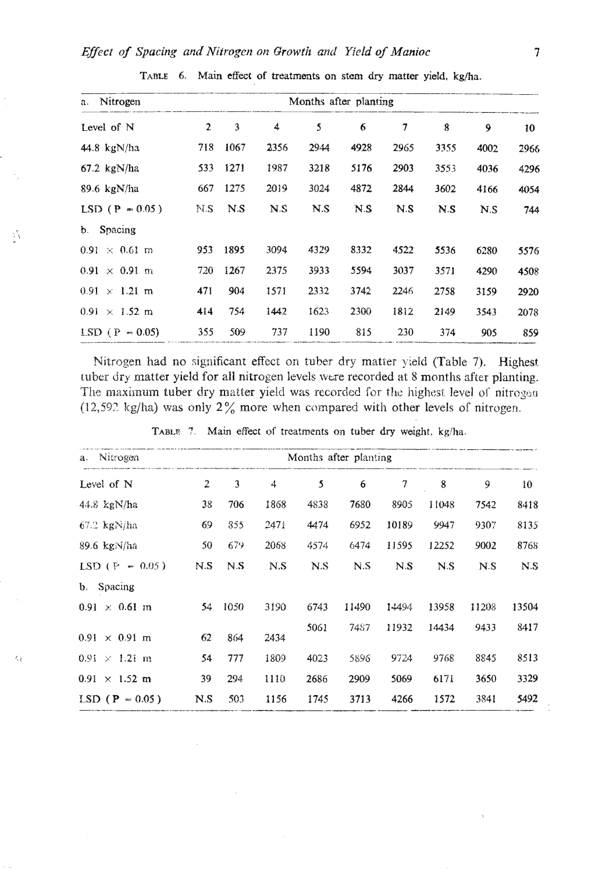# Effect of Spacing and Nitrogen on Growth and Yield of Manioc

 $\mathcal{E}_{\mathcal{E}}$ 

 $\alpha$ 

| Nitrogen<br>a.               | Months after planting |      |      |      |      |                          |      |      |      |
|------------------------------|-----------------------|------|------|------|------|--------------------------|------|------|------|
| Level of N                   | $\overline{2}$        | 3    | 4    | 5    | 6    | $\overline{\mathcal{I}}$ | 8    | 9    | 10   |
| 44.8 $kgN/ha$                | 718                   | 1067 | 2356 | 2944 | 4928 | 2965                     | 3355 | 4002 | 2966 |
| $67.2 \text{ kgN/ha}$        | 533                   | 1271 | 1987 | 3218 | 5176 | 2903                     | 3553 | 4036 | 4296 |
| 89.6 $kgN/ha$                | 667                   | 1275 | 2019 | 3024 | 4872 | 2844                     | 3602 | 4166 | 4054 |
| $LSD (P = 0.05)$             | N.S                   | N.S  | N.S  | N.S  | N.S  | N.S                      | N.S  | N.S  | 744  |
| Spacing<br>b.                |                       |      |      |      |      |                          |      |      |      |
| $0.91 \times 0.61$ m         | 953                   | 1895 | 3094 | 4329 | 8332 | 4522                     | 5536 | 6280 | 5576 |
| $0.91 \times 0.91$ m         | 720                   | 1267 | 2375 | 3933 | 5594 | 3037                     | 3571 | 4290 | 4508 |
| $0.91 \times 1.21 \text{ m}$ | 471                   | 904  | 1571 | 2332 | 3742 | 2246                     | 2758 | 3159 | 2920 |
| $0.91 \times 1.52 \text{ m}$ | 414                   | 754  | 1442 | 1623 | 2300 | 1812                     | 2149 | 3543 | 2078 |
| $LSD (P = 0.05)$             | 355                   | 509  | 737  | 1190 | 815  | 230                      | 374  | 905  | 859  |

TABLE 6. Main effect of treatments on stem dry matter yield, kg/ha.

Nitrogen had no significant effect on tuber dry matter yield (Table 7). Highest tuber dry matter yield for all nitrogen levels were recorded at 8 months after planting. The maximum tuber dry matter yield was recorded for the highest level of nitrogen (12,592 kg/ha) was only  $2\%$  more when compared with other levels of nitrogen.

| Nitrogen<br>a.               |     |      |      |      | Months after planting |                |       |       |                 |
|------------------------------|-----|------|------|------|-----------------------|----------------|-------|-------|-----------------|
| Level of N                   | 2   | 3    | 4    | 5    | 6                     | 7              | 8     | 9     | 10 <sup>°</sup> |
| 44.8 $\text{kgN/ha}$         | 38  | 706  | 1868 | 4838 | 7680                  | 8905           | 11048 | 7542  | 8418            |
| $67.2$ kgN/ha                | 69  | 855  | 2471 | 4474 | 6952                  | 10189          | 9947  | 9307  | 8135            |
| 89.6 kgj Vha                 | 50  | 679  | 2068 | 4574 | 6474                  | 11595          | 12252 | 9002  | 8768            |
| $LSD (P = 0.05)$             | N.S | N.S  | N.S  | N.S  | N.S                   | N <sub>S</sub> | N.S   | N.S   | N.S             |
| <b>b.</b> Spacing            |     |      |      |      |                       |                |       |       |                 |
| $0.91 \times 0.61$ m         | 54  | 1050 | 3190 | 6743 | 11490                 | 14494          | 13958 | 11208 | 13504           |
| $0.91 \times 0.91$ m         | 62  | 864  | 2434 | 5061 | 7487                  | 11932          | 14434 | 9433  | 8417            |
| $0.91 \times 1.21 \text{ m}$ | 54  | 777  | 1809 | 4023 | 5896                  | 9724           | 9768  | 8845  | 8513            |
| $0.91 \times 1.52 \text{ m}$ | 39  | 294  | 1110 | 2686 | 2909                  | 5069           | 6171  | 3650  | 3329            |
| $LSD (P = 0.05)$             | N.S | 503  | 1156 | 1745 | 3713                  | 4266           | 1572  | 3841  | 5492            |

TABLE 7. Main effect of treatments on tuber dry weight, kg/ha.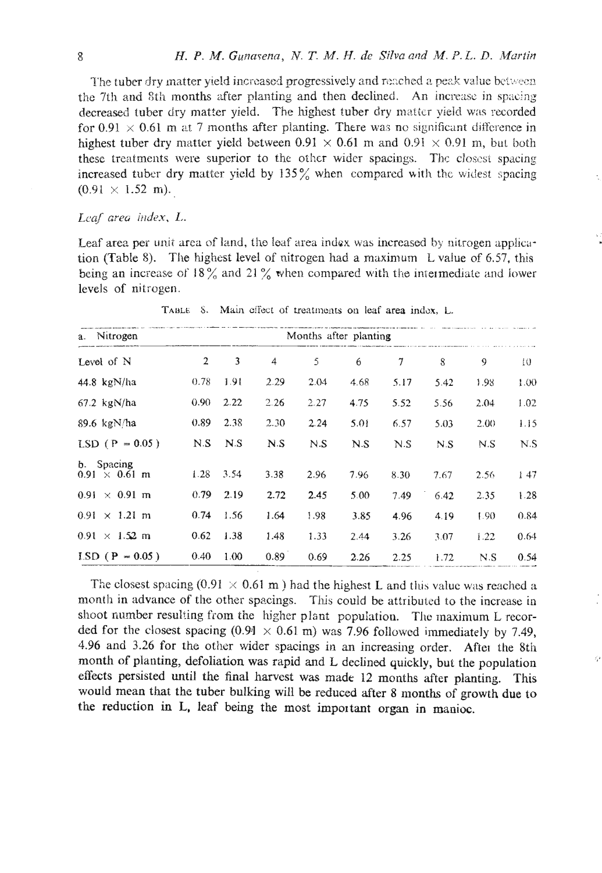The tuber dry matter yield increased progressively and reached a peak value between the 7th and 8th months after planting and then declined. An increase in spacing decreased tuber dry matter yield. The highest tuber dry matter yield was recorded for 0.91  $\times$  0.61 m at 7 months after planting. There was no significant difference in highest tuber dry matter yield between 0.91  $\times$  0.61 m and 0.91  $\times$  0.91 m, but both these treatments were superior to the other wider spacings. The closest spacing increased tuber dry matter yield by 135% when compared with the widest spacing  $(0.91 \times 1.52 \text{ m}).$ 

# Leaf area index, L.

Leaf area per unit area of land, the leaf area index was increased by nitrogen application (Table 8). The highest level of nitrogen had a maximum L value of 6.57, this being an increase of 18% and 21% when compared with the intermediate and lower levels of nitrogen.

| a. Nitrogen                        | Months after planting |      |      |      |      |      |      |      |        |
|------------------------------------|-----------------------|------|------|------|------|------|------|------|--------|
| Level of N                         | $\overline{2}$        | 3    | 4    | 5    | 6    | 7    | 8    | 9    | $10 -$ |
| 44.8 $kgN/ha$                      | 0.78                  | 1.91 | 2.29 | 2.04 | 4.68 | 5.17 | 5.42 | 1.98 | 1.00   |
| $67.2$ kgN/ha                      | 0.90                  | 2.22 | 2.26 | 2.27 | 4.75 | 5.52 | 5.56 | 2.04 | 1.02   |
| 89.6 kg $N/ha$                     | 0.89                  | 2.38 | 2.30 | 2.24 | 5.01 | 6.57 | 5.03 | 2.00 | 1.15   |
| $LSD (P = 0.05)$                   | N.S                   | N.S  | N.S  | N.S  | N.S  | N.S  | N.S  | N.S  | N.S    |
| b. Spacing<br>$0.91 \times 0.61$ m | 1.28                  | 3.54 | 3.38 | 2.96 | 7.96 | 8.30 | 7.67 | 2.56 | 147    |
| $0.91 \times 0.91$ m               | 0.79                  | 2.19 | 2.72 | 2.45 | 5.00 | 7.49 | 6.42 | 2.35 | 1.28   |
| $0.91 \times 1.21$ m               | 0.74                  | 1.56 | 1.64 | 1.98 | 3.85 | 4.96 | 4.19 | 1.90 | 0.84   |
| $0.91 \times 1.52 \text{ m}$       | 0.62                  | 1.38 | 1.48 | 1.33 | 2.44 | 3.26 | 3.07 | 1.22 | 0.64   |
| $LSD (P = 0.05)$                   | 0.40                  | 1.00 | 0.89 | 0.69 | 2.26 | 2.25 | 1.72 | N.S  | 0.54   |

TABLE 8. Main effect of treatments on leaf area index, L.

The closest spacing (0.91  $\times$  0.61 m) had the highest L and this value was reached a month in advance of the other spacings. This could be attributed to the increase in shoot number resulting from the higher plant population. The maximum L recorded for the closest spacing (0.91  $\times$  0.61 m) was 7.96 followed immediately by 7.49, 4.96 and 3.26 for the other wider spacings in an increasing order. After the 8th month of planting, defoliation was rapid and L declined quickly, but the population effects persisted until the final harvest was made 12 months after planting. This would mean that the tuber bulking will be reduced after 8 months of growth due to the reduction in L, leaf being the most important organ in manioc.

9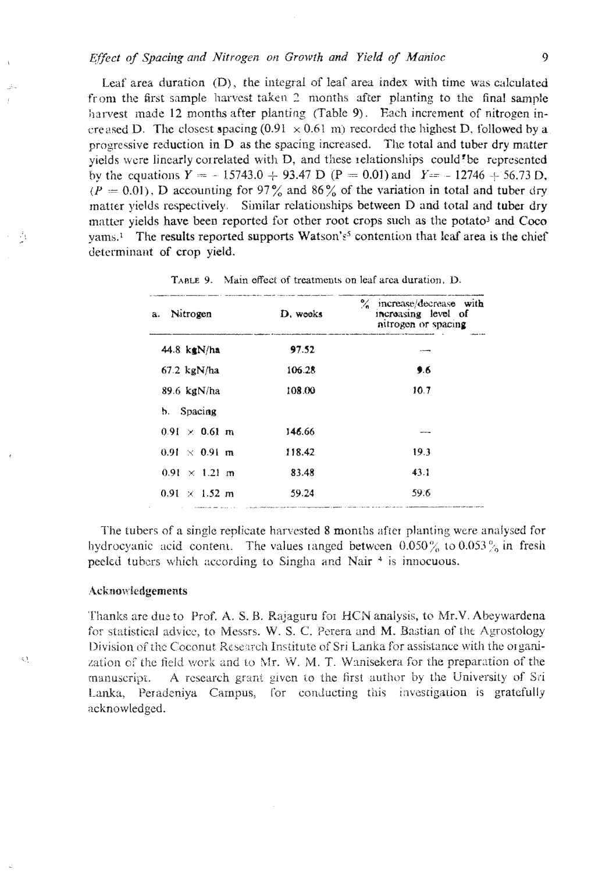# Effect of Spacing and Nitrogen on Growth and Yield of Manioc

Leaf area duration (D), the integral of leaf area index with time was calculated from the first sample harvest taken 2 months after planting to the final sample harvest made 12 months after planting (Table 9). Each increment of nitrogen increased D. The closest spacing (0.91  $\times$  0.61 m) recorded the highest D, followed by a progressive reduction in D as the spacing increased. The total and tuber dry matter yields were linearly correlated with D, and these relationships could'be represented by the equations  $Y = -15743.0 + 93.47$  D (P = 0.01) and  $Y = -12746 + 56.73$  D,  $(P = 0.01)$ , D accounting for 97% and 86% of the variation in total and tuber dry matter yields respectively. Similar relationships between D and total and tuber dry matter yields have been reported for other root crops such as the potato<sup>3</sup> and Coco vams.<sup>1</sup> The results reported supports Watson's<sup>5</sup> contention that leaf area is the chief determinant of crop yield.

| Nitrogen<br>a.               | D. wooks | % increase/decrease with<br>increasing level of<br>nitrogen or spacing |
|------------------------------|----------|------------------------------------------------------------------------|
| 44.8 $kgN/ha$                | 97.52    |                                                                        |
| $67.2 \text{ kgN/ha}$        | 106.28   | 9.6                                                                    |
| 89.6 $kgN/ha$                | 108.00   | 10.7                                                                   |
| b. Spacing                   |          |                                                                        |
| $0.91 \times 0.61$ m         | 146.66   | <b>Marine and</b>                                                      |
| $0.91 \times 0.91$ m         | 118.42   | 19.3                                                                   |
| $0.91 \times 1.21$ m         | 83.48    | 43.1                                                                   |
| $0.91 \times 1.52 \text{ m}$ | 59.24    | 59.6                                                                   |

TABLE 9. Main effect of treatments on leaf area duration. D.

The tubers of a single replicate harvested 8 months after planting were analysed for hydrocyanic acid content. The values ranged between  $0.050\%$  to  $0.053\%$  in fresh peeled tubers which according to Singha and Nair<sup>4</sup> is innocuous.

#### Acknowledgements

Ą

 $\zeta_{\rm c}$ 

Thanks are due to Prof. A. S. B. Rajaguru for HCN analysis, to Mr.V. Abeywardena for statistical advice, to Messrs, W. S. C. Perera and M. Bastian of the Agrostology Division of the Coconut Research Institute of Sri Lanka for assistance with the organization of the field work and to Mr. W. M. T. Wanisekera for the preparation of the A research grant given to the first author by the University of Sri manuscript. Lanka, Peradeniya Campus, for conducting this investigation is gratefully acknowledged.